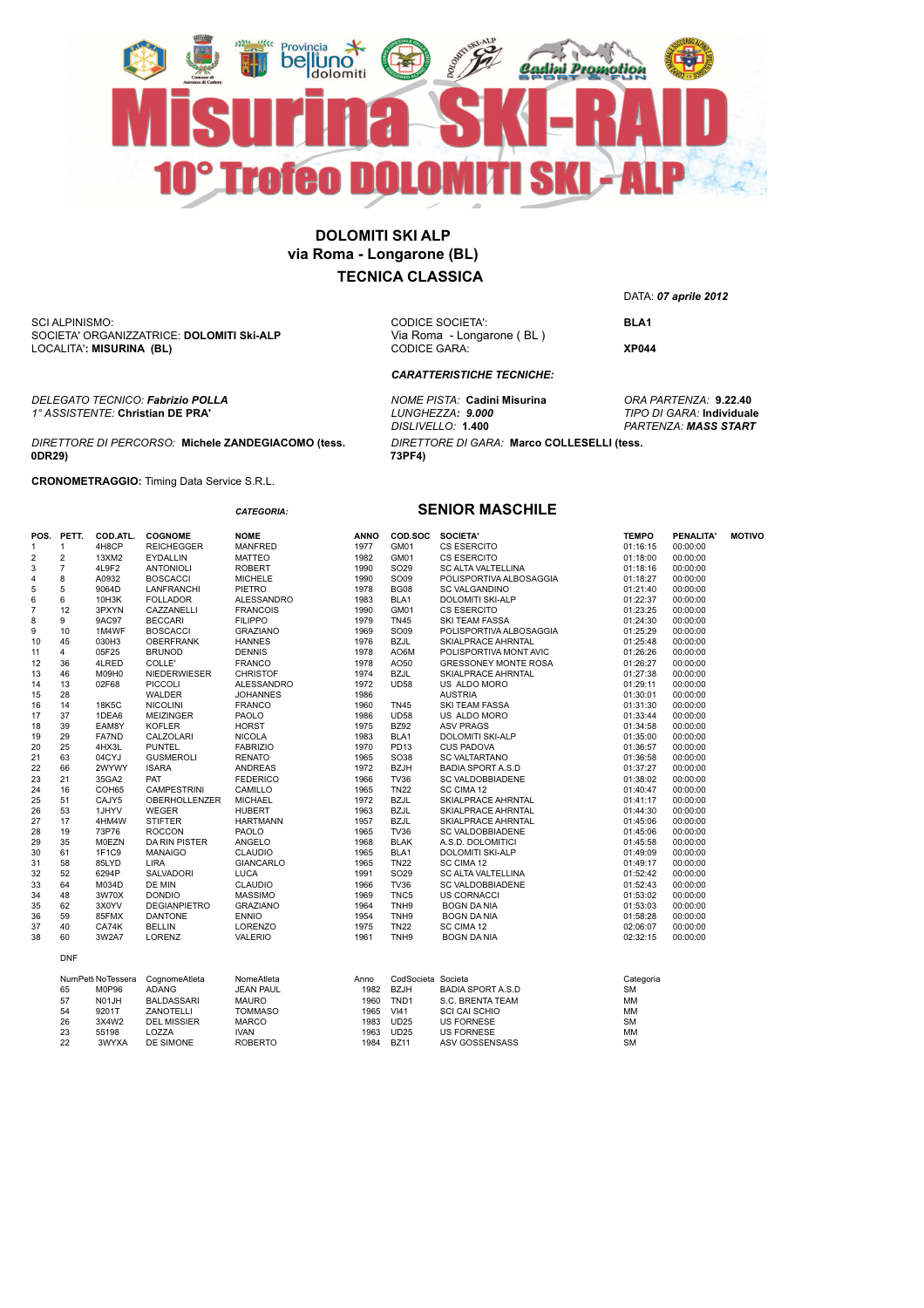

**73PF4)**

LOCALITA'**: MISURINA (BL)** SCI ALPINISMO: SOCIETA' ORGANIZZATRICE: **DOLOMITI Ski-ALP** 

*DELEGATO TECNICO: Fabrizio POLLA NOME PISTA:* **Cadini Misurina** *ORA PARTENZA:* **9.22.40** *1° ASSISTENTE:* **Christian DE PRA'** *LUNGHEZZA: 9.000 TIPO DI GARA:* **Individuale**

#### *DIRETTORE DI PERCORSO:* **Michele ZANDEGIACOMO (tess. 0DR29)**

**CRONOMETRAGGIO:** Timing Data Service S.R.L.

|                |                |              |                                   | <b>CATEGORIA:</b> |
|----------------|----------------|--------------|-----------------------------------|-------------------|
| POS.           | PETT.          | COD.ATL.     | <b>COGNOME</b>                    | <b>NOME</b>       |
| 1              | 1              | 4H8CP        | <b>REICHEGGER</b>                 | <b>MANFRED</b>    |
| $\overline{2}$ | $\overline{2}$ | 13XM2        | <b>EYDALLIN</b>                   | <b>MATTEO</b>     |
| 3              | $\overline{7}$ | 4L9F2        | <b>ANTONIOLI</b>                  | <b>ROBERT</b>     |
| 4              | 8              | A0932        | <b>BOSCACCI</b>                   | <b>MICHELE</b>    |
| 5              | 5              | 9064D        | LANFRANCHI                        | <b>PIETRO</b>     |
| 6              | 6              | 10H3K        | <b>FOLLADOR</b>                   | <b>ALESSANDRO</b> |
| $\overline{7}$ | 12             | 3PXYN        | CAZZANELLI                        | <b>FRANCOIS</b>   |
| 8              | 9              | 9AC97        | <b>BECCARI</b>                    | <b>FILIPPO</b>    |
| 9              | 10             | 1M4WF        | <b>BOSCACCI</b>                   | <b>GRAZIANO</b>   |
| 10             | 45             | 030H3        | <b>OBERFRANK</b>                  | <b>HANNES</b>     |
| 11             | 4              | 05F25        | <b>BRUNOD</b>                     | <b>DENNIS</b>     |
| 12             | 36             | 4LRED        | COLLE'                            | <b>FRANCO</b>     |
| 13             | 46             | M09H0        | <b>NIEDERWIESER</b>               | <b>CHRISTOF</b>   |
| 14             | 13             | 02F68        | <b>PICCOLI</b>                    | <b>ALESSANDRO</b> |
| 15             | 28             |              | <b>WALDER</b>                     | <b>JOHANNES</b>   |
| 16             | 14             | 18K5C        | <b>NICOLINI</b>                   | <b>FRANCO</b>     |
| 17             | 37             | 1DEA6        | <b>MEIZINGER</b>                  | <b>PAOLO</b>      |
| 18             | 39             | EAM8Y        | <b>KOFLER</b>                     | <b>HORST</b>      |
| 19             | 29             | <b>FA7ND</b> | CALZOLARI                         | <b>NICOLA</b>     |
| 20             | 25             | 4HX3L        | <b>PUNTEL</b>                     | <b>FABRIZIO</b>   |
| 21             | 63             | 04CYJ        | <b>GUSMEROLI</b>                  | <b>RENATO</b>     |
| 22             | 66             | 2WYWY        | <b>ISARA</b>                      | <b>ANDREAS</b>    |
| 23             | 21             | 35GA2        | PAT                               | <b>FEDERICO</b>   |
| 24             | 16             | COH65        | <b>CAMPESTRINI</b>                | CAMILLO           |
| 25             | 51             | CAJY5        | <b>OBERHOLLENZER</b>              | <b>MICHAEL</b>    |
| 26             | 53             | 1JHYV        | <b>WEGER</b>                      | <b>HUBERT</b>     |
| 27             | 17             | 4HM4W        | <b>STIFTER</b>                    | <b>HARTMANN</b>   |
| 28             | 19             | 73P76        | <b>ROCCON</b>                     | <b>PAOLO</b>      |
| 29             | 35             | <b>M0EZN</b> | <b>DA RIN PISTER</b>              | ANGELO            |
| 30             | 61             | 1F1C9        | <b>MANAIGO</b>                    | <b>CLAUDIO</b>    |
| 31             | 58             | 85LYD        | LIRA                              | <b>GIANCARLO</b>  |
| 32             | 52             | 6294P        | <b>SALVADORI</b>                  | <b>LUCA</b>       |
| 33             | 64             | M034D        | DE MIN                            | <b>CLAUDIO</b>    |
| 34             | 48             | 3W70X        | <b>DONDIO</b>                     | <b>MASSIMO</b>    |
| 35             | 62             | 3X0YV        | <b>DEGIANPIETRO</b>               | <b>GRAZIANO</b>   |
| 36             | 59             | 85FMX        | <b>DANTONE</b>                    | <b>ENNIO</b>      |
| 37             | 40             | CA74K        | <b>BELLIN</b>                     | <b>LORENZO</b>    |
| 38             | 60             | 3W2A7        | LORENZ                            | <b>VALERIO</b>    |
|                | <b>DNF</b>     |              |                                   |                   |
|                |                |              | Numbert No Tenness Company Atlata | Name Atlata       |

| 1990 | SO09             | POLIS            |
|------|------------------|------------------|
| 1978 | <b>BG08</b>      | SC <sub>VA</sub> |
| 1983 | BLA <sub>1</sub> | <b>DOLO</b>      |
| 1990 | GM01             | CS <sub>ES</sub> |
| 1979 | <b>TN45</b>      | <b>SKITE</b>     |
| 1969 | SO09             | POLIS            |
| 1976 | <b>BZJL</b>      | <b>SKIALI</b>    |
| 1978 | AO6M             | POLIS            |
| 1978 | AO50             | <b>GRES</b>      |
| 1974 | <b>BZJL</b>      | <b>SKIALI</b>    |
| 1972 | <b>UD58</b>      | US AL            |
| 1986 |                  | <b>AUSTF</b>     |
| 1960 | <b>TN45</b>      | SKI TE           |
| 1986 | <b>UD58</b>      | US AL            |
| 1975 | <b>BZ92</b>      | ASV <sub>P</sub> |
| 1983 | BLA1             | <b>DOLO</b>      |
| 1970 | PD13             | CUS <sub>P</sub> |
| 1965 | SO38             | <b>SC VA</b>     |
| 1972 | <b>BZJH</b>      | <b>BADIA</b>     |
| 1966 | <b>TV36</b>      | SC <sub>VA</sub> |
| 1965 | <b>TN22</b>      | SC CIM           |
| 1972 | <b>BZJL</b>      | <b>SKIALI</b>    |
| 1963 | <b>BZJL</b>      | <b>SKIALI</b>    |
| 1957 | <b>BZJL</b>      | <b>SKIALI</b>    |
| 1965 | <b>TV36</b>      | <b>SC VA</b>     |
| 1968 | <b>BLAK</b>      | A.S.D.           |
| 1965 | BLA <sub>1</sub> | <b>DOLO</b>      |
| 1965 | <b>TN22</b>      | SC CIM           |
| 1991 | SO <sub>29</sub> | SC AL            |
| 1966 | <b>TV36</b>      | SC <sub>VA</sub> |
| 1969 | TNC5             | US CC            |
| 1964 | TNH <sub>9</sub> | <b>BOGN</b>      |
| 1954 | TNH <sub>9</sub> | <b>BOGN</b>      |
| 1975 | <b>TN22</b>      | SC CIM           |
| 1961 | TNH <sub>9</sub> | <b>BOGN</b>      |
|      |                  |                  |

26 3X4W2 DEL MISSIER MARCO 1983 UD25 US FORNESE SM 23 55198 LOZZA IVAN 1963 UD25 US FORNESE MM 22 3WYXA DE SIMONE ROBERTO 1984 BZ11 ASV GOSSENSASS SM

DATA: *07 aprile 2012*

CODICE SOCIETA': **BLA1**<br>Via Roma - Longarone (BL) CODICE GARA: **XP044**

*DISLIVELLO:* **1.400** *PARTENZA: MASS START*

#### **SENIOR MASCHILE**

*DIRETTORE DI GARA:* **Marco COLLESELLI (tess.** 

*CARATTERISTICHE TECNICHE:*

|                | POS. PETT.     | <b>COD.ATL.</b>   | <b>COGNOME</b>      | <b>NOME</b>      | <b>ANNO</b> | COD.SOC SOCIETA'   |                                                | <b>TEMPO</b> | PENALITA' | <b>MOTIVO</b> |
|----------------|----------------|-------------------|---------------------|------------------|-------------|--------------------|------------------------------------------------|--------------|-----------|---------------|
|                | $\mathbf{1}$   | 4H8CP             | <b>REICHEGGER</b>   | MANFRED          | 1977        | GM01               | CS ESERCITO                                    | 01:16:15     | 00:00:00  |               |
| $\overline{2}$ | $\overline{2}$ | 13XM2             | <b>EYDALLIN</b>     | <b>MATTEO</b>    | 1982        | GM01               | <b>CS ESERCITO</b>                             | 01:18:00     | 00:00:00  |               |
| 3              | $\overline{7}$ | 4L9F2             | <b>ANTONIOLI</b>    | <b>ROBERT</b>    | 1990        | SO29               | SC ALTA VALTELLINA                             | 01:18:16     | 00:00:00  |               |
| 4              | 8              | A0932             | <b>BOSCACCI</b>     | <b>MICHELE</b>   | 1990        | SO09               | POLISPORTIVA ALBOSAGGIA                        | 01:18:27     | 00:00:00  |               |
| 5              | 5              | 9064D             | LANFRANCHI          | PIETRO           | 1978        | <b>BG08</b>        | <b>SC VALGANDINO</b>                           | 01:21:40     | 00:00:00  |               |
| 6              | 6              | 10H3K             | <b>FOLLADOR</b>     | ALESSANDRO       | 1983        | BLA1               | DOLOMITI SKI-ALP                               | 01:22:37     | 00:00:00  |               |
| 7              | 12             | 3PXYN             | CAZZANELLI          | <b>FRANCOIS</b>  | 1990        | GM01               | <b>CS ESERCITO</b>                             | 01:23:25     | 00:00:00  |               |
| 8              | 9              | 9AC97             | <b>BECCARI</b>      | <b>FILIPPO</b>   | 1979        | <b>TN45</b>        | <b>SKI TEAM FASSA</b>                          | 01:24:30     | 00:00:00  |               |
| 9              | 10             | 1M4WF             | <b>BOSCACCI</b>     | <b>GRAZIANO</b>  | 1969        | SO09               | POLISPORTIVA ALBOSAGGIA                        | 01:25:29     | 00:00:00  |               |
| 10             | 45             | 030H3             | <b>OBERFRANK</b>    | <b>HANNES</b>    | 1976        | <b>BZJL</b>        | SKIALPRACE AHRNTAL                             | 01:25:48     | 00:00:00  |               |
| 11             | 4              | 05F25             | <b>BRUNOD</b>       | <b>DENNIS</b>    | 1978        | AO6M               | POLISPORTIVA MONT AVIC                         | 01:26:26     | 00:00:00  |               |
| 12             | 36             | 4LRED             | COLLE'              | <b>FRANCO</b>    | 1978        | AO50               | GRESSONEY MONTE ROSA                           | 01:26:27     | 00:00:00  |               |
| 13             | 46             | M09H0             | NIEDERWIESER        | <b>CHRISTOF</b>  | 1974        | <b>BZJL</b>        | SKIALPRACE AHRNTAL                             | 01:27:38     | 00:00:00  |               |
| 14             | 13             | 02F68             | <b>PICCOLI</b>      | ALESSANDRO       | 1972        | <b>UD58</b>        | US ALDO MORO                                   | 01:29:11     | 00:00:00  |               |
| 15             | 28             |                   | WALDER              | <b>JOHANNES</b>  | 1986        |                    | <b>AUSTRIA</b>                                 | 01:30:01     | 00:00:00  |               |
| 16             | 14             | 18K5C             | <b>NICOLINI</b>     | <b>FRANCO</b>    | 1960        | <b>TN45</b>        | SKI TEAM FASSA                                 | 01:31:30     | 00:00:00  |               |
| 17             | 37             | 1DEA6             | <b>MEIZINGER</b>    | PAOLO            | 1986        | <b>UD58</b>        | US ALDO MORO                                   | 01:33:44     | 00:00:00  |               |
| 18             | 39             | EAM8Y             | <b>KOFLER</b>       | <b>HORST</b>     | 1975        | <b>BZ92</b>        | <b>ASV PRAGS</b>                               | 01:34:58     | 00:00:00  |               |
| 19             | 29             | FA7ND             | CALZOLARI           | <b>NICOLA</b>    | 1983        | BLA1               | DOLOMITI SKI-ALP                               | 01:35:00     | 00:00:00  |               |
| 20             | 25             | 4HX3L             | <b>PUNTEL</b>       | <b>FABRIZIO</b>  | 1970        | PD13               | <b>CUS PADOVA</b>                              | 01:36:57     | 00:00:00  |               |
| 21             | 63             | 04CYJ             | <b>GUSMEROLI</b>    | <b>RENATO</b>    | 1965        | SO38               | <b>SC VALTARTANO</b>                           | 01:36:58     | 00:00:00  |               |
| 22             | 66             | 2WYWY             | <b>ISARA</b>        | <b>ANDREAS</b>   | 1972        | <b>BZJH</b>        | <b>BADIA SPORT A.S.D</b>                       | 01:37:27     | 00:00:00  |               |
| 23             | 21             | 35GA2             | PAT                 | <b>FEDERICO</b>  | 1966        | <b>TV36</b>        | SC VALDOBBIADENE                               | 01:38:02     | 00:00:00  |               |
| 24             | 16             | COH65             | <b>CAMPESTRINI</b>  | CAMILLO          | 1965        | <b>TN22</b>        | SC CIMA 12                                     | 01:40:47     | 00:00:00  |               |
| 25             | 51             | CAJY5             | OBERHOLLENZER       | <b>MICHAEL</b>   | 1972        | <b>BZJL</b>        | SKIALPRACE AHRNTAL                             | 01:41:17     | 00:00:00  |               |
| 26             | 53             | 1JHYV             | <b>WEGER</b>        | <b>HUBERT</b>    | 1963        | <b>BZJL</b>        | SKIALPRACE AHRNTAL                             | 01:44:30     | 00:00:00  |               |
| 27             | 17             | 4HM4W             | <b>STIFTER</b>      | <b>HARTMANN</b>  | 1957        | <b>BZJL</b>        | SKIALPRACE AHRNTAL                             | 01:45:06     | 00:00:00  |               |
| 28             | 19             | 73P76             | <b>ROCCON</b>       | PAOLO            | 1965        | <b>TV36</b>        | SC VALDOBBIADENE                               | 01:45:06     | 00:00:00  |               |
| 29             | 35             | M0EZN             | DA RIN PISTER       | ANGELO           | 1968        | <b>BLAK</b>        | A.S.D. DOLOMITICI                              | 01:45:58     | 00:00:00  |               |
| 30             | 61             | 1F1C9             | <b>MANAIGO</b>      | CLAUDIO          | 1965        | BLA1               | DOLOMITI SKI-ALP                               | 01:49:09     | 00:00:00  |               |
| 31             | 58             | 85LYD             | <b>LIRA</b>         | <b>GIANCARLO</b> | 1965        | <b>TN22</b>        | SC CIMA 12                                     | 01:49:17     | 00:00:00  |               |
| 32             | 52             | 6294P             | SALVADORI           | <b>LUCA</b>      | 1991        | SO29               | SC ALTA VALTELLINA                             | 01:52:42     | 00:00:00  |               |
| 33             | 64             | M034D             | DE MIN              | <b>CLAUDIO</b>   | 1966        | <b>TV36</b>        | SC VALDOBBIADENE                               | 01:52:43     | 00:00:00  |               |
| 34             | 48             | 3W70X             | <b>DONDIO</b>       | <b>MASSIMO</b>   | 1969        | TNC5               | <b>US CORNACCI</b>                             | 01:53:02     | 00:00:00  |               |
| 35             | 62             | 3X0YV             | <b>DEGIANPIETRO</b> | <b>GRAZIANO</b>  | 1964        | TNH <sub>9</sub>   | <b>BOGN DA NIA</b>                             | 01:53:03     | 00:00:00  |               |
| 36             | 59             | 85FMX             | <b>DANTONE</b>      | <b>ENNIO</b>     | 1954        | TNH <sub>9</sub>   | <b>BOGN DA NIA</b>                             | 01:58:28     | 00:00:00  |               |
| 37             | 40             | CA74K             | <b>BELLIN</b>       | LORENZO          | 1975        | <b>TN22</b>        | SC CIMA 12                                     | 02:06:07     | 00:00:00  |               |
| 38             | 60             | 3W2A7             | LORENZ              | <b>VALERIO</b>   | 1961        | TNH9               | inal<br>ITAL<br>IE<br>IE<br><b>BOGN DA NIA</b> | 02:32:15     | 00:00:00  |               |
|                | <b>DNF</b>     |                   |                     |                  |             |                    |                                                |              |           |               |
|                |                | NumPett NoTessera | CognomeAtleta       | NomeAtleta       | Anno        | CodSocieta Societa |                                                | Categoria    |           |               |
|                | 65             | M0P96             | <b>ADANG</b>        | <b>JEAN PAUL</b> | 1982        | <b>BZJH</b>        | <b>BADIA SPORT A.S.D</b>                       | SM           |           |               |
|                | 57             | N01JH             | <b>BALDASSARI</b>   | <b>MAURO</b>     | 1960        | TND1               | S.C. BRENTA TEAM                               | MM           |           |               |
|                | 54             | 9201T             | ZANOTELLI           | <b>TOMMASO</b>   | 1965        | $V$ <sup>141</sup> | <b>SCI CAI SCHIO</b>                           | МM           |           |               |
|                | 26             | 3X4W2             | <b>DEL MISSIER</b>  | <b>MARCO</b>     | 1983        | <b>UD25</b>        | <b>US FORNESE</b>                              | <b>SM</b>    |           |               |
|                | 23             | 55198             | LOZZA               | <b>IVAN</b>      | 1963        | <b>UD25</b>        | <b>US FORNESE</b>                              | <b>MM</b>    |           |               |
|                | 22             | 3WYXA             | DE SIMONE           | <b>ROBERTO</b>   | 1984        | <b>BZ11</b>        | ASV GOSSENSASS                                 | <b>SM</b>    |           |               |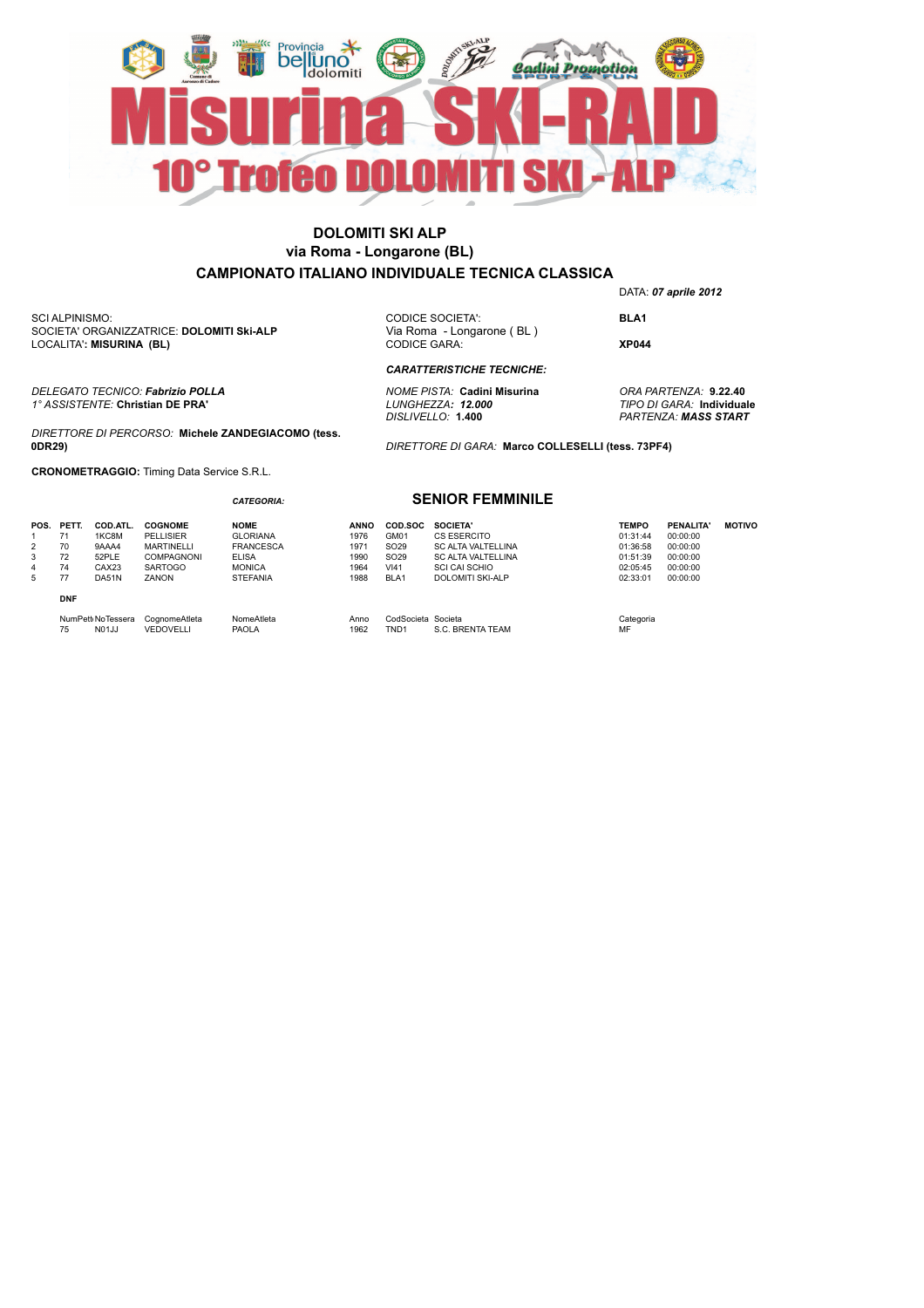

SCI ALPINISMO: SOCIETA' ORGANIZZATRICE: **DOLOMITI Ski-ALP** LOCALITA'**: MISURINA (BL)**

*DELEGATO TECNICO: Fabrizio POLLA NOME PISTA:* **Cadini Misurina** *ORA PARTENZA:* **9.22.40** *1° ASSISTENTE:* **Christian DE PRA'** *LUNGHEZZA: 12.000 TIPO DI GARA:* **Individuale**

*DIRETTORE DI PERCORSO:* **Michele ZANDEGIACOMO (tess. 0DR29)**

*CATEGORIA:*

**CRONOMETRAGGIO:** Timing Data Service S.R.L.

CODICE SOCIETA': **BLA1**<br>Via Roma - Longarone (BL) CODICE GARA: **XP044**

DATA: *07 aprile 2012*

*CARATTERISTICHE TECNICHE:*

*DISLIVELLO:* **1.400** *PARTENZA: MASS START*

*DIRETTORE DI GARA:* **Marco COLLESELLI (tess. 73PF4)**

#### **SENIOR FEMMINILE**

| POS.<br>2<br>3<br>4<br>5 | PETT.<br>71<br>70<br>72<br>74<br>77 | COD.ATL.<br>1KC8M<br>9AAA4<br>52PLE<br>CAX23<br>DA51N | <b>COGNOME</b><br>PELLISIER<br><b>MARTINELLI</b><br><b>COMPAGNONI</b><br><b>SARTOGO</b><br>ZANON | <b>NOME</b><br><b>GLORIANA</b><br><b>FRANCESCA</b><br><b>ELISA</b><br><b>MONICA</b><br><b>STEFANIA</b> | <b>ANNO</b><br>1976<br>1971<br>1990<br>1964<br>1988 | COD.SOC<br>GM01<br>SO <sub>29</sub><br>SO <sub>29</sub><br>VI41<br>BLA1 | SOCIETA'<br>CS ESERCITO<br><b>SC ALTA VALTELLINA</b><br><b>SC ALTA VALTELLINA</b><br><b>SCI CAI SCHIO</b><br><b>DOLOMITI SKI-ALP</b> | <b>TEMPO</b><br>01:31:44<br>01:36:58<br>01:51:39<br>02:05:45<br>02:33:01 | PENALITA'<br>00:00:00<br>00:00:00<br>00:00:00<br>00:00:00<br>00:00:00 | <b>MOTIVO</b> |
|--------------------------|-------------------------------------|-------------------------------------------------------|--------------------------------------------------------------------------------------------------|--------------------------------------------------------------------------------------------------------|-----------------------------------------------------|-------------------------------------------------------------------------|--------------------------------------------------------------------------------------------------------------------------------------|--------------------------------------------------------------------------|-----------------------------------------------------------------------|---------------|
|                          | <b>DNF</b>                          |                                                       |                                                                                                  |                                                                                                        |                                                     |                                                                         |                                                                                                                                      |                                                                          |                                                                       |               |
|                          | 75                                  | NumPett NoTessera<br><b>N01JJ</b>                     | CognomeAtleta<br>VEDOVELLI                                                                       | NomeAtleta<br><b>PAOLA</b>                                                                             | Anno<br>1962                                        | CodSocieta Societa<br>TND <sub>1</sub>                                  | S.C. BRENTA TEAM                                                                                                                     | Categoria<br>MF                                                          |                                                                       |               |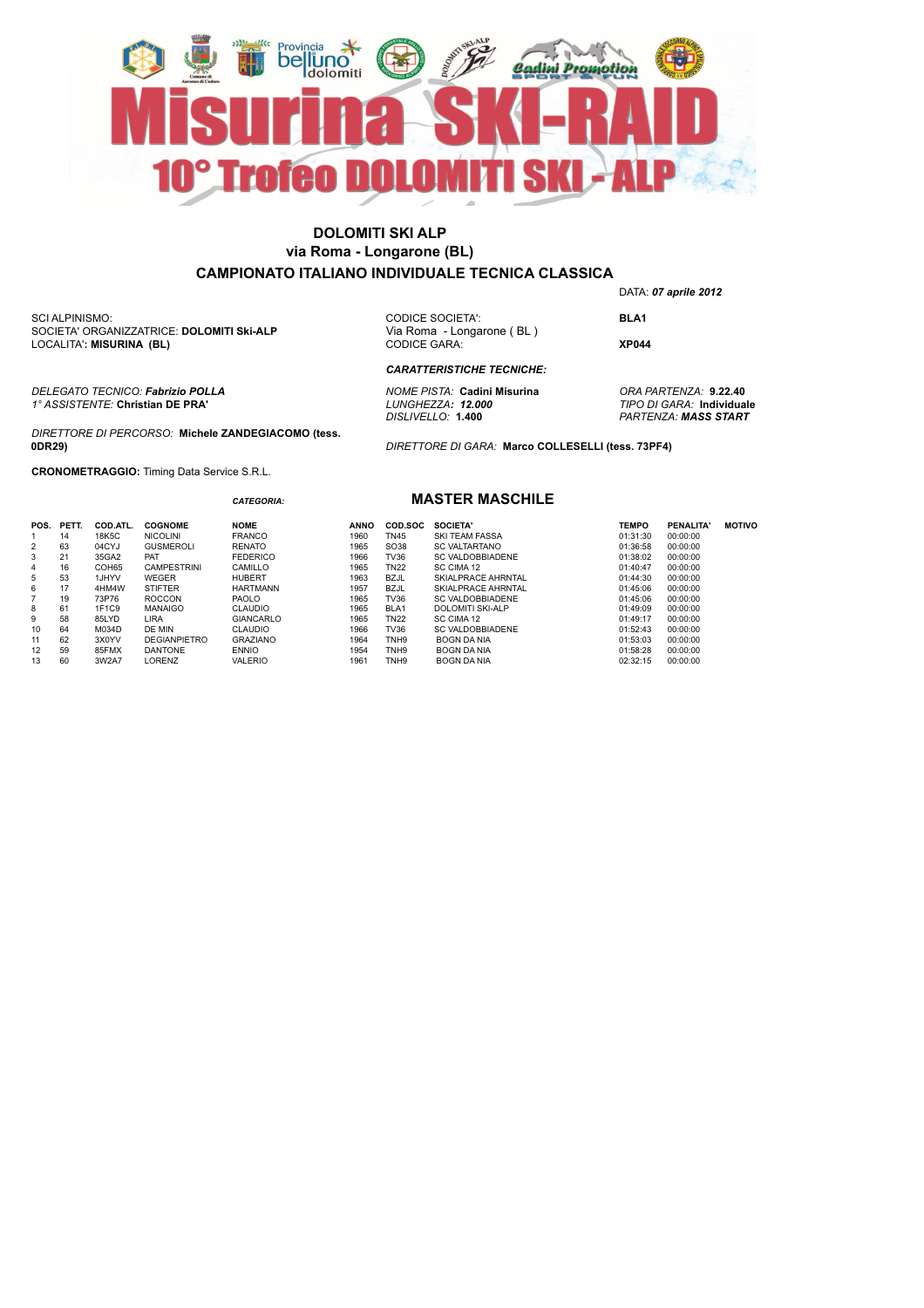

LOCALITA'**: MISURINA (BL)** SCI ALPINISMO: SOCIETA' ORGANIZZATRICE: **DOLOMITI Ski-ALP** 

*DELEGATO TECNICO: Fabrizio POLLA NOME PISTA:* **Cadini Misurina** *ORA PARTENZA:* **9.22.40** *1° ASSISTENTE:* **Christian DE PRA'** *LUNGHEZZA: 12.000 TIPO DI GARA:* **Individuale**

*DIRETTORE DI PERCORSO:* **Michele ZANDEGIACOMO (tess. 0DR29)**

*CATEGORIA:*

**CRONOMETRAGGIO:** Timing Data Service S.R.L.

CODICE SOCIETA': **BLA1**<br>Via Roma - Longarone (BL) CODICE GARA: **XP044**

*CARATTERISTICHE TECNICHE:*

*DISLIVELLO:* **1.400** *PARTENZA: MASS START*

DATA: *07 aprile 2012*

*DIRETTORE DI GARA:* **Marco COLLESELLI (tess. 73PF4)**

#### **MASTER MASCHILE**

| POS.           | PETT. | COD.ATL. | <b>COGNOME</b>      | <b>NOME</b>     | <b>ANNO</b> | COD SOC          | <b>SOCIETA'</b>         | <b>TEMPO</b> | PENALITA' | <b>MOTIVO</b> |
|----------------|-------|----------|---------------------|-----------------|-------------|------------------|-------------------------|--------------|-----------|---------------|
|                | 14    | 18K5C    | <b>NICOLINI</b>     | <b>FRANCO</b>   | 1960        | TN45             | <b>SKI TEAM FASSA</b>   | 01:31:30     | 00:00:00  |               |
| $\overline{2}$ | 63    | 04CYJ    | <b>GUSMEROLI</b>    | <b>RENATO</b>   | 1965        | SO38             | <b>SC VALTARTANO</b>    | 01:36:58     | 00:00:00  |               |
| 3              | 21    | 35GA2    | PAT                 | <b>FEDERICO</b> | 1966        | TV36             | SC VALDOBBIADENE        | 01:38:02     | 00:00:00  |               |
| 4              | 16    | COH65    | <b>CAMPESTRINI</b>  | CAMILLO         | 1965        | <b>TN22</b>      | SC CIMA 12              | 01:40:47     | 00:00:00  |               |
| 5              | 53    | 1JHYV    | WEGER               | <b>HUBERT</b>   | 1963        | BZJL             | SKIALPRACE AHRNTAL      | 01:44:30     | 00:00:00  |               |
| 6              | 17    | 4HM4W    | <b>STIFTER</b>      | <b>HARTMANN</b> | 1957        | <b>BZJL</b>      | SKIALPRACE AHRNTAL      | 01:45:06     | 00:00:00  |               |
|                | 19    | 73P76    | <b>ROCCON</b>       | <b>PAOLO</b>    | 1965        | <b>TV36</b>      | SC VALDOBBIADENE        | 01:45:06     | 00:00:00  |               |
| 8              | 61    | 1F1C9    | <b>MANAIGO</b>      | <b>CLAUDIO</b>  | 1965        | BLA1             | <b>DOLOMITI SKI-ALP</b> | 01:49:09     | 00:00:00  |               |
| 9              | 58    | 85LYD    | LIRA                | GIANCARLO       | 1965        | <b>TN22</b>      | SC CIMA 12              | 01:49:17     | 00:00:00  |               |
| 10             | 64    | M034D    | DE MIN              | <b>CLAUDIO</b>  | 1966        | TV36             | SC VALDOBBIADENE        | 01:52:43     | 00:00:00  |               |
| 11             | 62    | 3X0YV    | <b>DEGIANPIETRO</b> | <b>GRAZIANO</b> | 1964        | TNH <sub>9</sub> | BOGN DA NIA             | 01:53:03     | 00:00:00  |               |
| 12             | 59    | 85FMX    | <b>DANTONE</b>      | <b>ENNIO</b>    | 1954        | TNH <sub>9</sub> | BOGN DA NIA             | 01:58:28     | 00:00:00  |               |
| 13             | 60    | 3W2A7    | LORENZ              | <b>VALERIO</b>  | 1961        | TNH9             | <b>BOGN DA NIA</b>      | 02:32:15     | 00:00:00  |               |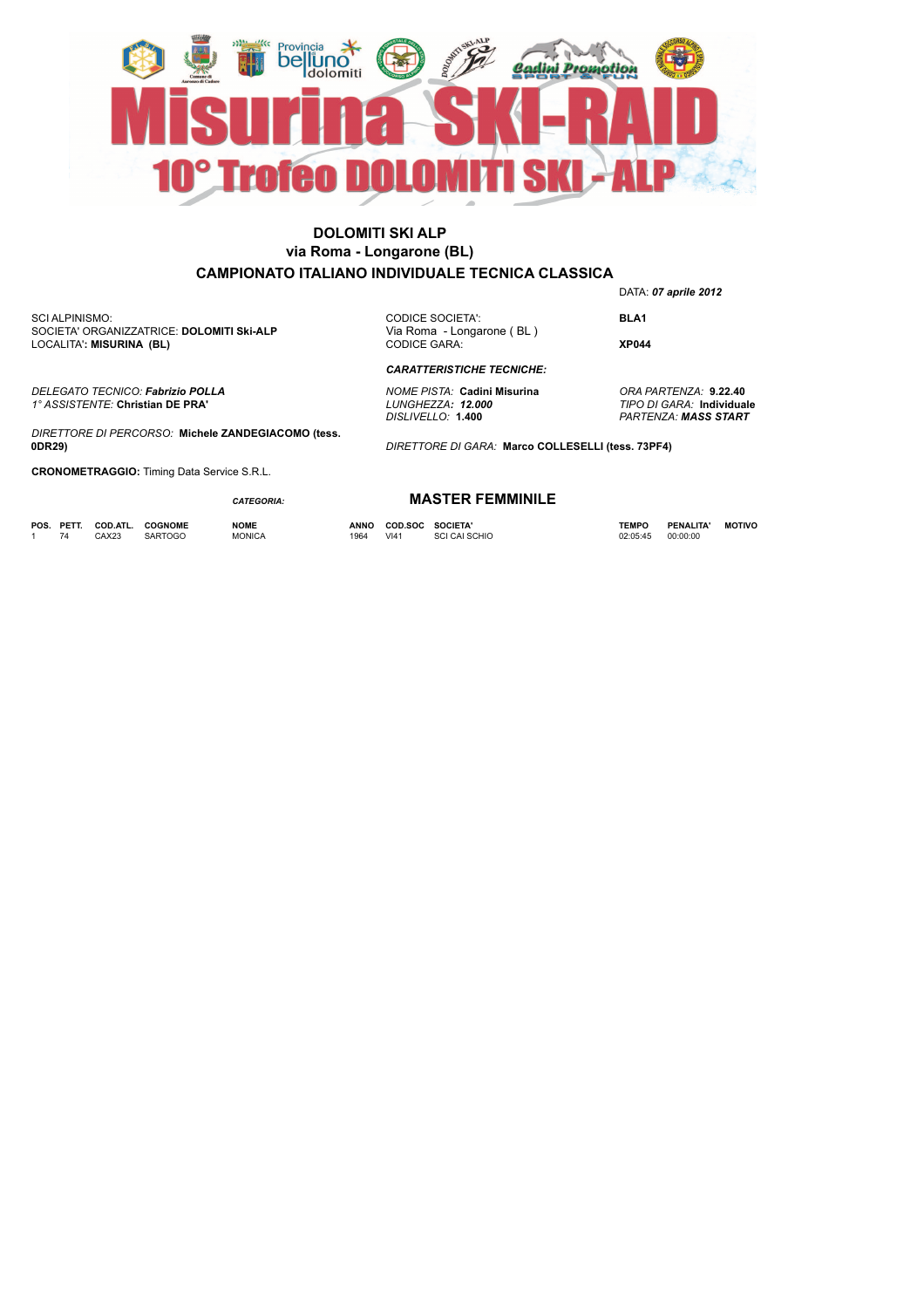

LOCALITA'**: MISURINA (BL)** SCI ALPINISMO: SOCIETA' ORGANIZZATRICE: **DOLOMITI Ski-ALP** 

*DELEGATO TECNICO: Fabrizio POLLA NOME PISTA:* **Cadini Misurina** *ORA PARTENZA:* **9.22.40** *1° ASSISTENTE:* **Christian DE PRA'** *LUNGHEZZA: 12.000 TIPO DI GARA:* **Individuale**

*DIRETTORE DI PERCORSO:* **Michele ZANDEGIACOMO (tess. 0DR29)**

**CRONOMETRAGGIO:** Timing Data Service S.R.L.

*CATEGORIA:*

**POS. PETT. COD.ATL. COGNOME NOME ANNO COD.SOC SOCIETA' TEMPO PENALITA' MOTIVO** 1 74 CAX23 SARTOGO MONICA 1964 VI41 SCI CAI SCHIO 02:05:45 00:00:00

**MASTER FEMMINILE**

*CARATTERISTICHE TECNICHE:*

DATA: *07 aprile 2012*

CODICE SOCIETA': **BLA1**<br>Via Roma - Longarone (BL)

CODICE GARA: **XP044**

*DISLIVELLO:* **1.400** *PARTENZA: MASS START*

*DIRETTORE DI GARA:* **Marco COLLESELLI (tess. 73PF4)**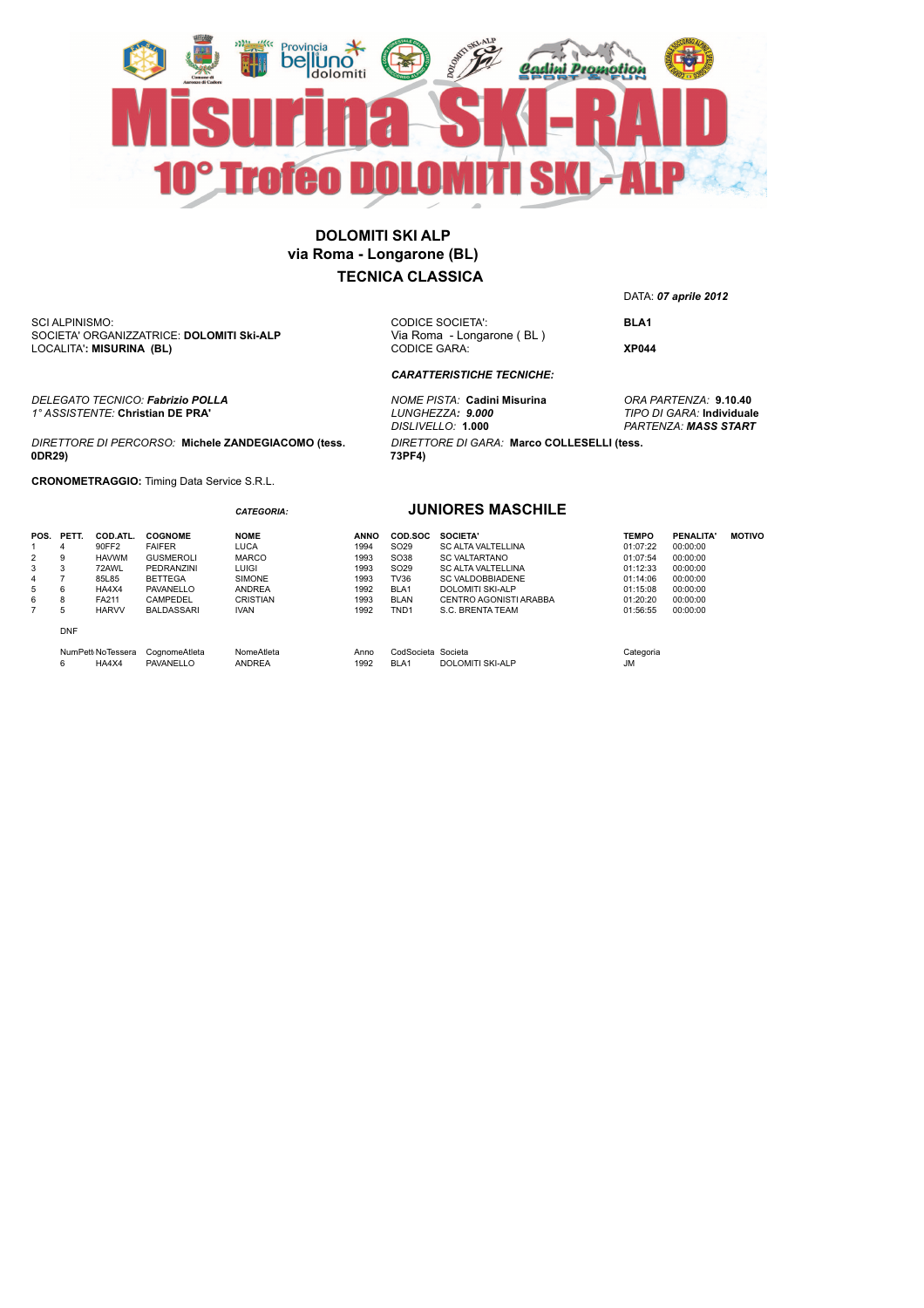

LOCALITA'**: MISURINA (BL)** SCI ALPINISMO: SOCIETA' ORGANIZZATRICE: **DOLOMITI Ski-ALP** 

*DELEGATO TECNICO: Fabrizio POLLA NOME PISTA:* **Cadini Misurina** *ORA PARTENZA:* **9.10.40** *1° ASSISTENTE:* **Christian DE PRA'** *LUNGHEZZA: 9.000 TIPO DI GARA:* **Individuale**

#### *DIRETTORE DI PERCORSO:* **Michele ZANDEGIACOMO (tess. 0DR29)**

*CATEGORIA:*

**CRONOMETRAGGIO:** Timing Data Service S.R.L.

DATA: *07 aprile 2012*

CODICE SOCIETA': **BLA1**<br>Via Roma - Longarone (BL)

CODICE GARA: **XP044**

*DISLIVELLO:* **1.000** *PARTENZA: MASS START*

#### **JUNIORES MASCHILE**

*DIRETTORE DI GARA:* **Marco COLLESELLI (tess.** 

*CARATTERISTICHE TECNICHE:*

| PETT.      | COD.ATL.     |                            |               |               |                  |                           |                                                                                                                      |                 |               |
|------------|--------------|----------------------------|---------------|---------------|------------------|---------------------------|----------------------------------------------------------------------------------------------------------------------|-----------------|---------------|
|            |              | <b>COGNOME</b>             | <b>NOME</b>   | <b>ANNO</b>   | COD.SOC          | SOCIETA'                  | <b>TEMPO</b>                                                                                                         | <b>PENALITA</b> | <b>MOTIVO</b> |
| 4          | 90FF2        | <b>FAIFER</b>              | LUCA          | 1994          | SO <sub>29</sub> | <b>SC ALTA VALTELLINA</b> | 01:07:22                                                                                                             | 00:00:00        |               |
| 9          | <b>HAVWM</b> | <b>GUSMEROLI</b>           | <b>MARCO</b>  | 1993          | SO38             |                           | 01:07:54                                                                                                             | 00:00:00        |               |
| 3          | 72AWL        | PEDRANZINI                 | LUIGI         | 1993          | SO <sub>29</sub> | <b>SC ALTA VALTELLINA</b> | 01:12:33                                                                                                             | 00:00:00        |               |
|            | 85L85        | <b>BETTEGA</b>             | <b>SIMONE</b> | 1993          | <b>TV36</b>      | <b>SC VALDOBBIADENE</b>   | 01:14:06                                                                                                             | 00:00:00        |               |
| 6          | HA4X4        | PAVANELLO                  | <b>ANDREA</b> | 1992          | BLA <sub>1</sub> |                           | 01:15:08                                                                                                             | 00:00:00        |               |
| 8          | FA211        | CAMPEDEL                   | CRISTIAN      | 1993          | <b>BLAN</b>      | CENTRO AGONISTI ARABBA    | 01:20:20                                                                                                             | 00:00:00        |               |
| 5          | <b>HARVV</b> | <b>BALDASSARI</b>          | <b>IVAN</b>   | 1992          | TND <sub>1</sub> |                           | 01:56:55                                                                                                             | 00:00:00        |               |
| <b>DNF</b> |              |                            |               |               |                  |                           |                                                                                                                      |                 |               |
| 6          |              | CognomeAtleta              | NomeAtleta    | Anno          |                  |                           | Categoria                                                                                                            |                 |               |
|            |              | NumPett NoTessera<br>HA4X4 | PAVANELLO     | <b>ANDREA</b> | 1992             | BLA <sub>1</sub>          | <b>SC VALTARTANO</b><br><b>DOLOMITI SKI-ALP</b><br>S.C. BRENTA TEAM<br>CodSocieta Societa<br><b>DOLOMITI SKI-ALP</b> | <b>JM</b>       |               |

**73PF4)**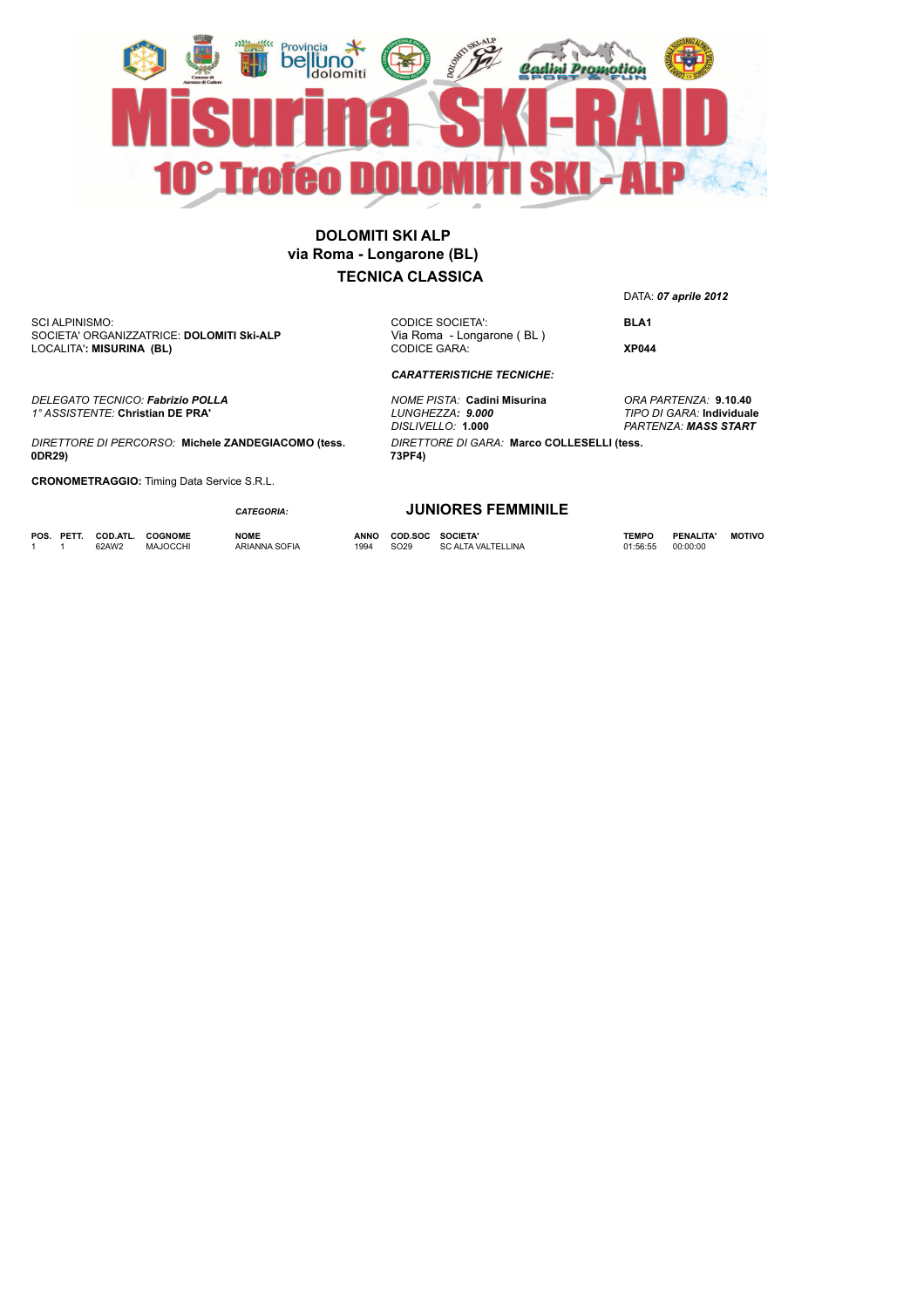

LOCALITA'**: MISURINA (BL)** SCI ALPINISMO: SOCIETA' ORGANIZZATRICE: **DOLOMITI Ski-ALP** 

CODICE GARA: **XP044**

CODICE SOCIETA': **BLA1**<br>Via Roma - Longarone (BL)

*DIRETTORE DI GARA:* **Marco COLLESELLI (tess.** 

*CARATTERISTICHE TECNICHE:*

**73PF4)**

*DELEGATO TECNICO: Fabrizio POLLA NOME PISTA:* **Cadini Misurina** *ORA PARTENZA:* **9.10.40** *DISLIVELLO:* **1.000** *PARTENZA: MASS START*

*1° ASSISTENTE:* **Christian DE PRA'** *LUNGHEZZA: 9.000 TIPO DI GARA:* **Individuale** *DIRETTORE DI PERCORSO:* **Michele ZANDEGIACOMO (tess. 0DR29)**

**CRONOMETRAGGIO:** Timing Data Service S.R.L.

#### *CATEGORIA:*

**POS. PETT. COD.ATL. COGNOME NOME ANNO COD.SOC SOCIETA' TEMPO PENALITA' MOTIVO** 1 1 62AW2 MAJOCCHI ARIANNA SOFIA 1994 SO29 SC ALTA VALTELLINA 01:56:55 00:00:00

**JUNIORES FEMMINILE**

DATA: *07 aprile 2012*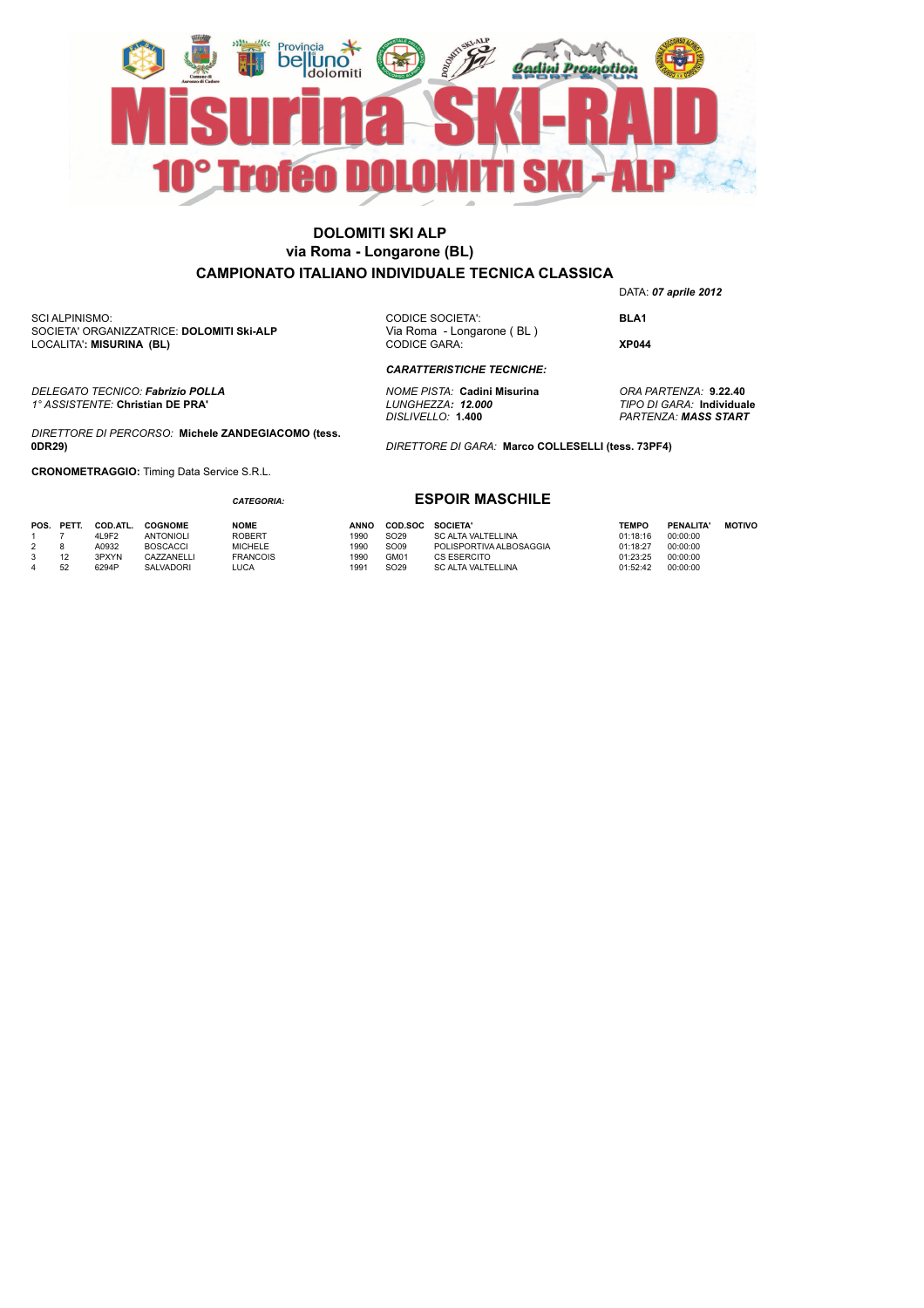

LOCALITA'**: MISURINA (BL)** SCI ALPINISMO: SOCIETA' ORGANIZZATRICE: **DOLOMITI Ski-ALP** 

*DELEGATO TECNICO: Fabrizio POLLA NOME PISTA:* **Cadini Misurina** *ORA PARTENZA:* **9.22.40** *1° ASSISTENTE:* **Christian DE PRA'** *LUNGHEZZA: 12.000 TIPO DI GARA:* **Individuale**

*DIRETTORE DI PERCORSO:* **Michele ZANDEGIACOMO (tess. 0DR29)**

**CRONOMETRAGGIO:** Timing Data Service S.R.L.

#### *CATEGORIA:*

DATA: *07 aprile 2012* CODICE SOCIETA': **BLA1**<br>Via Roma - Longarone (BL)

CODICE GARA: **XP044**

*DISLIVELLO:* **1.400** *PARTENZA: MASS START*

*DIRETTORE DI GARA:* **Marco COLLESELLI (tess. 73PF4)**

# **ESPOIR MASCHILE**

*CARATTERISTICHE TECNICHE:*

| POS. PETT. | COD ATL. | <b>COGNOME</b>    | <b>NOME</b>     | <b>ANNO</b> | COD.SOC          | <b>SOCIETA'</b>           | <b>TEMPO</b> | <b>PENALITA</b> | <b>MOTIVO</b> |
|------------|----------|-------------------|-----------------|-------------|------------------|---------------------------|--------------|-----------------|---------------|
|            | 4L9F2    | <b>ANTONIOLI</b>  | <b>ROBERT</b>   | 1990        | SO <sub>29</sub> | SC ALTA VALTELLINA        | 01:18:16     | 00:00:00        |               |
|            | A0932    | <b>BOSCACCI</b>   | <b>MICHELE</b>  | 1990        | SO09             | POLISPORTIVA ALBOSAGGIA   | 01:18:27     | 00:00:00        |               |
| 12         | 3PXYN    | <b>CAZZANELLI</b> | <b>FRANCOIS</b> | 1990        | GM01             | CS ESERCITO               | 01:23:25     | 00:00:00        |               |
| 52         | 6294P    | SALVADORI         | LUCA.           | 1991        | SO <sub>29</sub> | <b>SC ALTA VALTELLINA</b> | 01:52:42     | 00:00:00        |               |
|            |          |                   |                 |             |                  |                           |              |                 |               |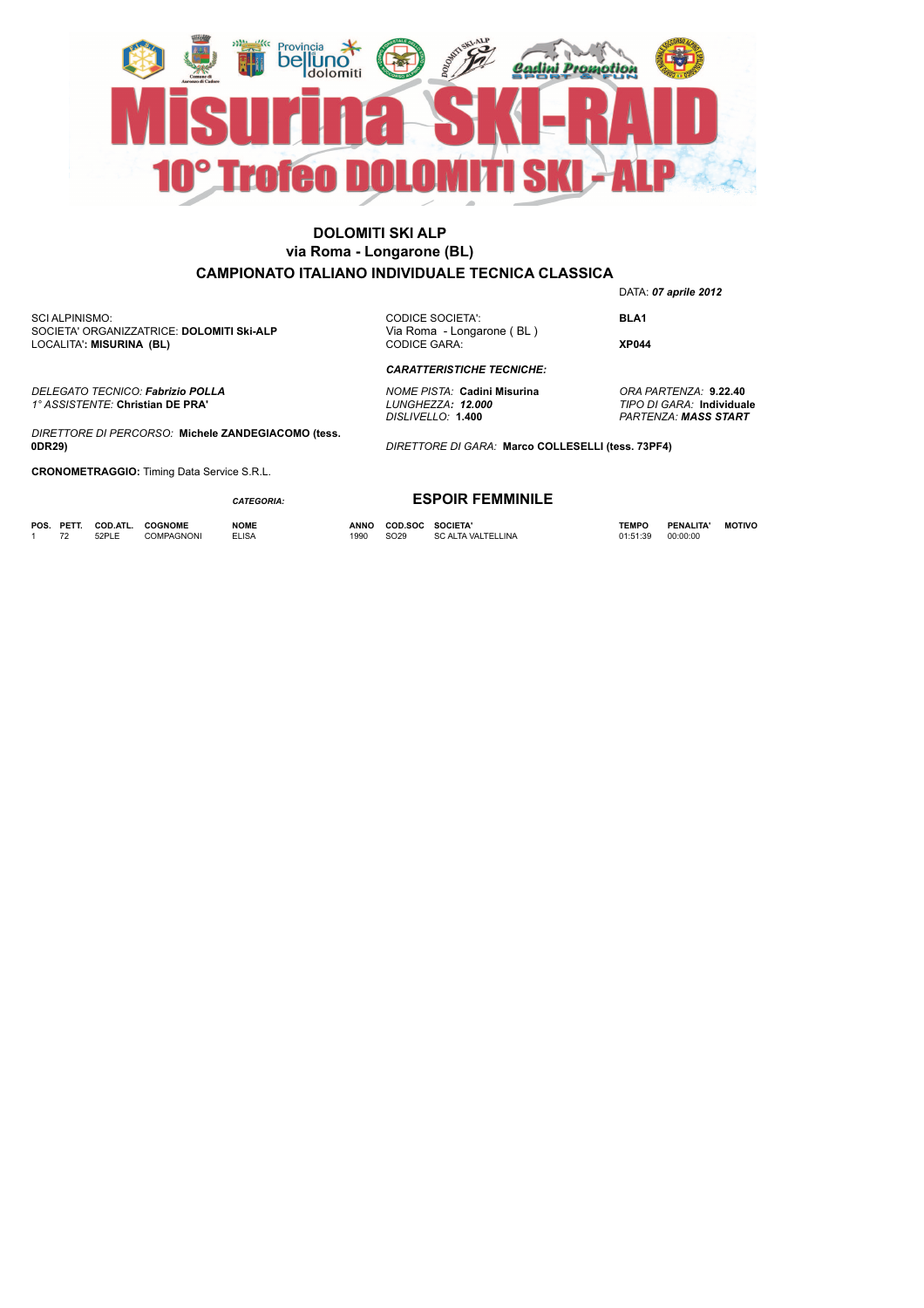

SCI ALPINISMO: SOCIETA' ORGANIZZATRICE: **DOLOMITI Ski-ALP** LOCALITA'**: MISURINA (BL)**

CODICE SOCIETA': **BLA1**<br>Via Roma - Longarone (BL) CODICE GARA: **XP044**

DATA: *07 aprile 2012*

*CARATTERISTICHE TECNICHE:*

*DELEGATO TECNICO: Fabrizio POLLA NOME PISTA:* **Cadini Misurina** *ORA PARTENZA:* **9.22.40**

*DIRETTORE DI GARA:* **Marco COLLESELLI (tess. 73PF4)**

*DISLIVELLO:* **1.400** *PARTENZA: MASS START*

*DIRETTORE DI PERCORSO:* **Michele ZANDEGIACOMO (tess. 0DR29)**

**CRONOMETRAGGIO:** Timing Data Service S.R.L.

*CATEGORIA:*

**POS. PETT. COD.ATL. COGNOME NOME ANNO COD.SOC SOCIETA' TEMPO PENALITA' MOTIVO** 1 72 52PLE COMPAGNONI ELISA 1990 SO29 SC ALTA VALTELLINA 01:51:39 00:00:00

*1° ASSISTENTE:* **Christian DE PRA'** *LUNGHEZZA: 12.000 TIPO DI GARA:* **Individuale**

**ESPOIR FEMMINILE**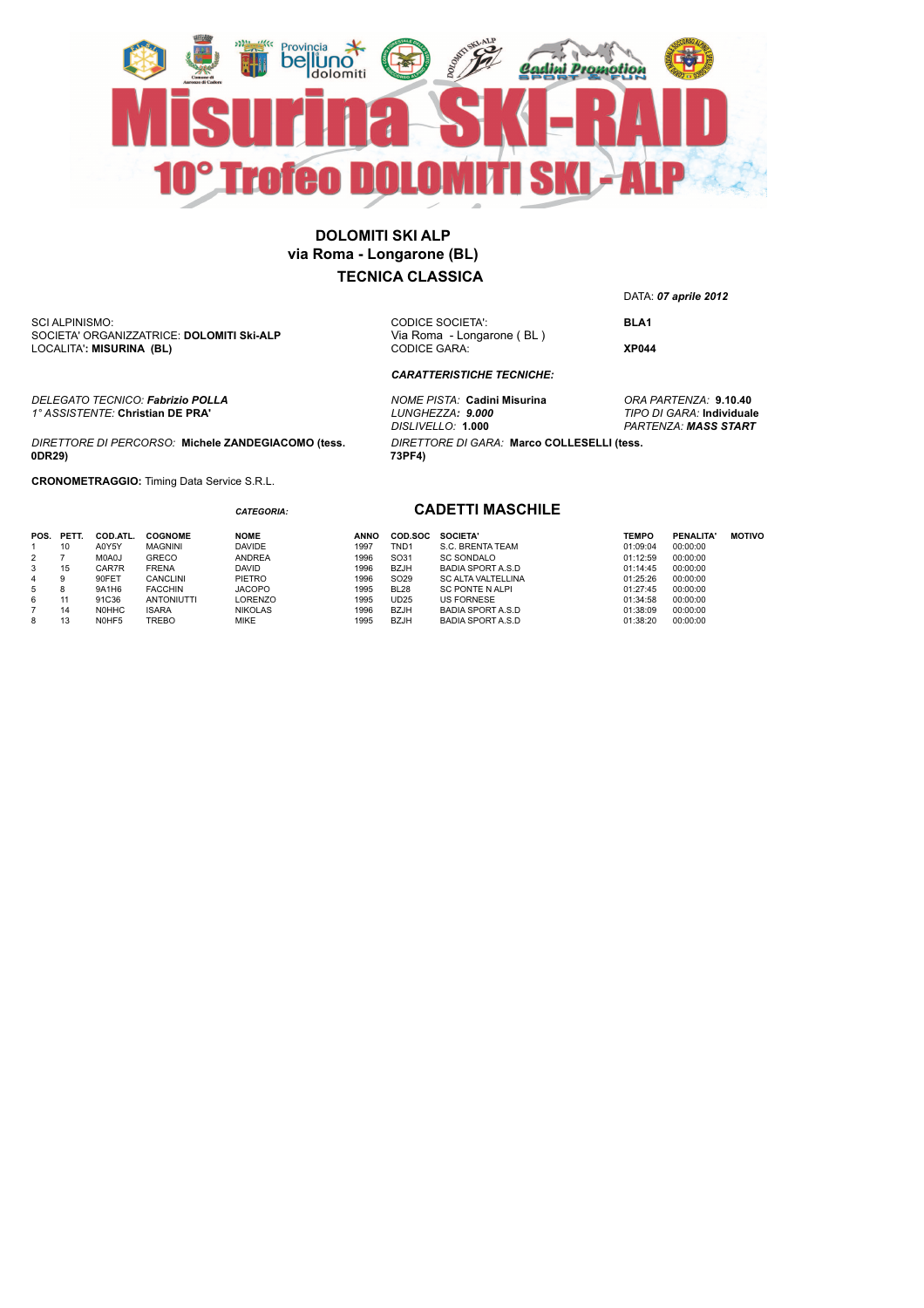

SCI ALPINISMO: SOCIETA' ORGANIZZATRICE: **DOLOMITI Ski-ALP** LOCALITA'**: MISURINA (BL)**

CODICE GARA: **XP044**

*CARATTERISTICHE TECNICHE:*

*DELEGATO TECNICO: Fabrizio POLLA NOME PISTA:* **Cadini Misurina** *ORA PARTENZA:* **9.10.40** *DIRETTORE DI GARA:* **Marco COLLESELLI (tess. 73PF4)**

DATA: *07 aprile 2012*

CODICE SOCIETA': **BLA1**<br>Via Roma - Longarone (BL)

*DISLIVELLO:* **1.000** *PARTENZA: MASS START*

*1° ASSISTENTE:* **Christian DE PRA'** *LUNGHEZZA: 9.000 TIPO DI GARA:* **Individuale**

*DIRETTORE DI PERCORSO:* **Michele ZANDEGIACOMO (tess. 0DR29)**

*CATEGORIA:*

**CRONOMETRAGGIO:** Timing Data Service S.R.L.

#### **CADETTI MASCHILE**

| 1996<br>SO31<br><b>SC SONDALO</b><br>M0A0J<br><b>ANDREA</b><br>00:00:00<br><b>GRECO</b><br>01:12:59<br>2<br><b>FRENA</b><br><b>BZJH</b><br>1996<br>00:00:00<br>15<br>CAR7R<br><b>DAVID</b><br><b>BADIA SPORT A.S.D</b><br>01:14:45<br>3<br>90FET<br>PIETRO<br>1996<br>SO <sub>29</sub><br>01:25:26<br>00:00:00<br><b>CANCLINI</b><br><b>SC ALTA VALTELLINA</b><br>9<br>4<br><b>FACCHIN</b><br><b>JACOPO</b><br>1995<br><b>BL28</b><br>00:00:00<br>9A1H6<br>01:27:45<br>5<br><b>SC PONTE N ALPI</b><br>ö<br><b>US FORNESE</b><br>00:00:00<br>91C36<br>LORENZO<br>1995<br>UD25<br><b>ANTONIUTTI</b><br>01:34:58<br>6<br>1996<br><b>BZJH</b><br><b>NOHHC</b><br><b>ISARA</b><br><b>NIKOLAS</b><br>01:38:09<br>00:00:00<br><b>BADIA SPORT A.S.D</b><br>14<br><b>TREBO</b><br><b>MIKE</b><br><b>BZJH</b><br>1995<br>00:00:00<br>N0HF5<br>01:38:20<br><b>BADIA SPORT A.S.D</b><br>8 |  |
|-------------------------------------------------------------------------------------------------------------------------------------------------------------------------------------------------------------------------------------------------------------------------------------------------------------------------------------------------------------------------------------------------------------------------------------------------------------------------------------------------------------------------------------------------------------------------------------------------------------------------------------------------------------------------------------------------------------------------------------------------------------------------------------------------------------------------------------------------------------------------------|--|
|-------------------------------------------------------------------------------------------------------------------------------------------------------------------------------------------------------------------------------------------------------------------------------------------------------------------------------------------------------------------------------------------------------------------------------------------------------------------------------------------------------------------------------------------------------------------------------------------------------------------------------------------------------------------------------------------------------------------------------------------------------------------------------------------------------------------------------------------------------------------------------|--|